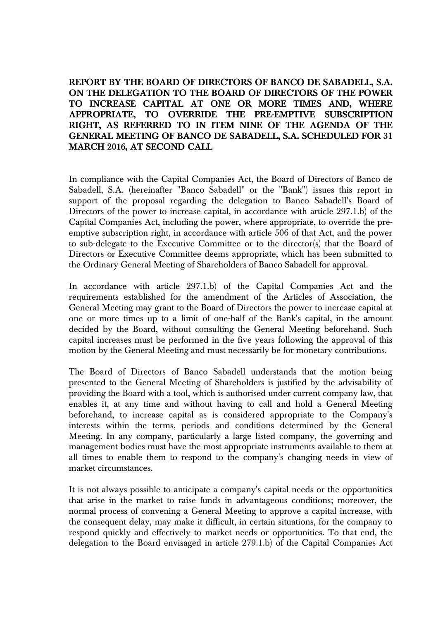**REPORT BY THE BOARD OF DIRECTORS OF BANCO DE SABADELL, S.A. ON THE DELEGATION TO THE BOARD OF DIRECTORS OF THE POWER TO INCREASE CAPITAL AT ONE OR MORE TIMES AND, WHERE APPROPRIATE, TO OVERRIDE THE PRE-EMPTIVE SUBSCRIPTION RIGHT, AS REFERRED TO IN ITEM NINE OF THE AGENDA OF THE GENERAL MEETING OF BANCO DE SABADELL, S.A. SCHEDULED FOR 31 MARCH 2016, AT SECOND CALL** 

In compliance with the Capital Companies Act, the Board of Directors of Banco de Sabadell, S.A. (hereinafter "Banco Sabadell" or the "Bank") issues this report in support of the proposal regarding the delegation to Banco Sabadell's Board of Directors of the power to increase capital, in accordance with article 297.1.b) of the Capital Companies Act, including the power, where appropriate, to override the preemptive subscription right, in accordance with article 506 of that Act, and the power to sub-delegate to the Executive Committee or to the director(s) that the Board of Directors or Executive Committee deems appropriate, which has been submitted to the Ordinary General Meeting of Shareholders of Banco Sabadell for approval.

In accordance with article 297.1.b) of the Capital Companies Act and the requirements established for the amendment of the Articles of Association, the General Meeting may grant to the Board of Directors the power to increase capital at one or more times up to a limit of one-half of the Bank's capital, in the amount decided by the Board, without consulting the General Meeting beforehand. Such capital increases must be performed in the five years following the approval of this motion by the General Meeting and must necessarily be for monetary contributions.

The Board of Directors of Banco Sabadell understands that the motion being presented to the General Meeting of Shareholders is justified by the advisability of providing the Board with a tool, which is authorised under current company law, that enables it, at any time and without having to call and hold a General Meeting beforehand, to increase capital as is considered appropriate to the Company's interests within the terms, periods and conditions determined by the General Meeting. In any company, particularly a large listed company, the governing and management bodies must have the most appropriate instruments available to them at all times to enable them to respond to the company's changing needs in view of market circumstances.

It is not always possible to anticipate a company's capital needs or the opportunities that arise in the market to raise funds in advantageous conditions; moreover, the normal process of convening a General Meeting to approve a capital increase, with the consequent delay, may make it difficult, in certain situations, for the company to respond quickly and effectively to market needs or opportunities. To that end, the delegation to the Board envisaged in article 279.1.b) of the Capital Companies Act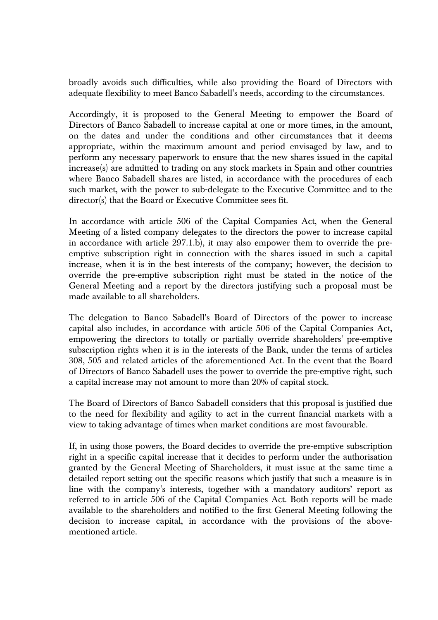broadly avoids such difficulties, while also providing the Board of Directors with adequate flexibility to meet Banco Sabadell's needs, according to the circumstances.

Accordingly, it is proposed to the General Meeting to empower the Board of Directors of Banco Sabadell to increase capital at one or more times, in the amount, on the dates and under the conditions and other circumstances that it deems appropriate, within the maximum amount and period envisaged by law, and to perform any necessary paperwork to ensure that the new shares issued in the capital increase(s) are admitted to trading on any stock markets in Spain and other countries where Banco Sabadell shares are listed, in accordance with the procedures of each such market, with the power to sub-delegate to the Executive Committee and to the director(s) that the Board or Executive Committee sees fit.

In accordance with article 506 of the Capital Companies Act, when the General Meeting of a listed company delegates to the directors the power to increase capital in accordance with article 297.1.b), it may also empower them to override the preemptive subscription right in connection with the shares issued in such a capital increase, when it is in the best interests of the company; however, the decision to override the pre-emptive subscription right must be stated in the notice of the General Meeting and a report by the directors justifying such a proposal must be made available to all shareholders.

The delegation to Banco Sabadell's Board of Directors of the power to increase capital also includes, in accordance with article 506 of the Capital Companies Act, empowering the directors to totally or partially override shareholders' pre-emptive subscription rights when it is in the interests of the Bank, under the terms of articles 308, 505 and related articles of the aforementioned Act. In the event that the Board of Directors of Banco Sabadell uses the power to override the pre-emptive right, such a capital increase may not amount to more than 20% of capital stock.

The Board of Directors of Banco Sabadell considers that this proposal is justified due to the need for flexibility and agility to act in the current financial markets with a view to taking advantage of times when market conditions are most favourable.

If, in using those powers, the Board decides to override the pre-emptive subscription right in a specific capital increase that it decides to perform under the authorisation granted by the General Meeting of Shareholders, it must issue at the same time a detailed report setting out the specific reasons which justify that such a measure is in line with the company's interests, together with a mandatory auditors' report as referred to in article 506 of the Capital Companies Act. Both reports will be made available to the shareholders and notified to the first General Meeting following the decision to increase capital, in accordance with the provisions of the abovementioned article.